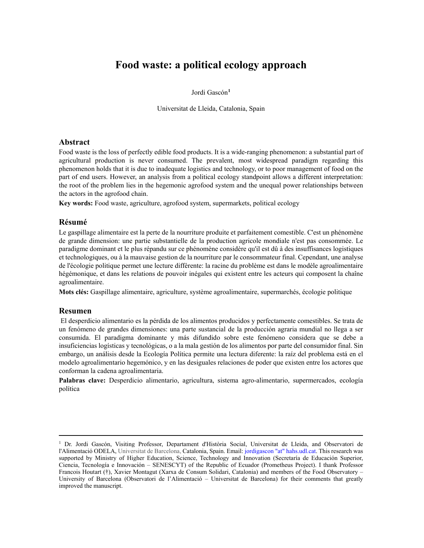# **Food waste: a political ecology approach**

Jordi Gascón**[1](#page-0-0)**

Universitat de Lleida, Catalonia, Spain

# **Abstract**

Food waste is the loss of perfectly edible food products. It is a wide-ranging phenomenon: a substantial part of agricultural production is never consumed. The prevalent, most widespread paradigm regarding this phenomenon holds that it is due to inadequate logistics and technology, or to poor management of food on the part of end users. However, an analysis from a political ecology standpoint allows a different interpretation: the root of the problem lies in the hegemonic agrofood system and the unequal power relationships between the actors in the agrofood chain.

**Key words:** Food waste, agriculture, agrofood system, supermarkets, political ecology

# **Résumé**

Le gaspillage alimentaire est la perte de la nourriture produite et parfaitement comestible. C'est un phénomène de grande dimension: une partie substantielle de la production agricole mondiale n'est pas consommée. Le paradigme dominant et le plus répandu sur ce phénomène considère qu'il est dû à des insuffisances logistiques et technologiques, ou à la mauvaise gestion de la nourriture par le consommateur final. Cependant, une analyse de l'écologie politique permet une lecture différente: la racine du problème est dans le modèle agroalimentaire hégémonique, et dans les relations de pouvoir inégales qui existent entre les acteurs qui composent la chaîne agroalimentaire.

**Mots clés:** Gaspillage alimentaire, agriculture, système agroalimentaire, supermarchés, écologie politique

# **Resumen**

El desperdicio alimentario es la pérdida de los alimentos producidos y perfectamente comestibles. Se trata de un fenómeno de grandes dimensiones: una parte sustancial de la producción agraria mundial no llega a ser consumida. El paradigma dominante y más difundido sobre este fenómeno considera que se debe a insuficiencias logísticas y tecnológicas, o a la mala gestión de los alimentos por parte del consumidor final. Sin embargo, un análisis desde la Ecología Política permite una lectura diferente: la raíz del problema está en el modelo agroalimentario hegemónico, y en las desiguales relaciones de poder que existen entre los actores que conforman la cadena agroalimentaria.

**Palabras clave:** Desperdicio alimentario, agricultura, sistema agro-alimentario, supermercados, ecología política

<span id="page-0-0"></span><sup>&</sup>lt;sup>1</sup> Dr. Jordi Gascón, Visiting Professor, Departament d'Història Social, Universitat de Lleida, and Observatori de l'Alimentació ODELA, Universitat de Barcelona, Catalonia, Spain. Email: jordigascon "at" hahs.udl.cat. This research was supported by Ministry of Higher Education, Science, Technology and Innovation (Secretaría de Educación Superior, Ciencia, Tecnología e Innovación – SENESCYT) of the Republic of Ecuador (Prometheus Project). I thank Professor Francois Houtart (†), Xavier Montagut (Xarxa de Consum Solidari, Catalonia) and members of the Food Observatory – University of Barcelona (Observatori de l'Alimentació – Universitat de Barcelona) for their comments that greatly improved the manuscript.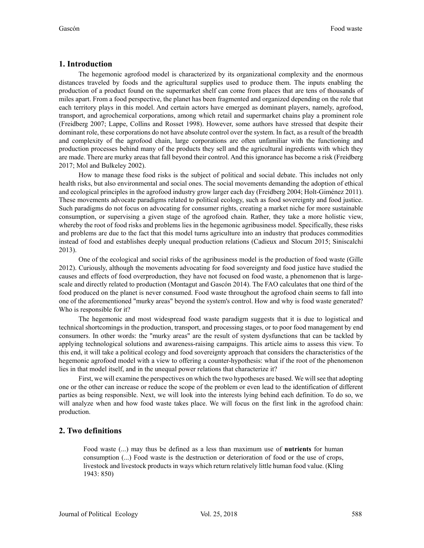## **1. Introduction**

The hegemonic agrofood model is characterized by its organizational complexity and the enormous distances traveled by foods and the agricultural supplies used to produce them. The inputs enabling the production of a product found on the supermarket shelf can come from places that are tens of thousands of miles apart. From a food perspective, the planet has been fragmented and organized depending on the role that each territory plays in this model. And certain actors have emerged as dominant players, namely, agrofood, transport, and agrochemical corporations, among which retail and supermarket chains play a prominent role (Freidberg 2007; Lappe, Collins and Rosset 1998). However, some authors have stressed that despite their dominant role, these corporations do not have absolute control over the system. In fact, as a result of the breadth and complexity of the agrofood chain, large corporations are often unfamiliar with the functioning and production processes behind many of the products they sell and the agricultural ingredients with which they are made. There are murky areas that fall beyond their control. And this ignorance has become a risk (Freidberg 2017; Mol and Bulkeley 2002).

How to manage these food risks is the subject of political and social debate. This includes not only health risks, but also environmental and social ones. The social movements demanding the adoption of ethical and ecological principles in the agrofood industry grow larger each day (Freidberg 2004; Holt-Giménez 2011). These movements advocate paradigms related to political ecology, such as food sovereignty and food justice. Such paradigms do not focus on advocating for consumer rights, creating a market niche for more sustainable consumption, or supervising a given stage of the agrofood chain. Rather, they take a more holistic view, whereby the root of food risks and problems lies in the hegemonic agribusiness model. Specifically, these risks and problems are due to the fact that this model turns agriculture into an industry that produces commodities instead of food and establishes deeply unequal production relations (Cadieux and Slocum 2015; Siniscalchi 2013).

One of the ecological and social risks of the agribusiness model is the production of food waste (Gille 2012). Curiously, although the movements advocating for food sovereignty and food justice have studied the causes and effects of food overproduction, they have not focused on food waste, a phenomenon that is largescale and directly related to production (Montagut and Gascón 2014). The FAO calculates that one third of the food produced on the planet is never consumed. Food waste throughout the agrofood chain seems to fall into one of the aforementioned "murky areas" beyond the system's control. How and why is food waste generated? Who is responsible for it?

The hegemonic and most widespread food waste paradigm suggests that it is due to logistical and technical shortcomings in the production, transport, and processing stages, or to poor food management by end consumers. In other words: the "murky areas" are the result of system dysfunctions that can be tackled by applying technological solutions and awareness-raising campaigns. This article aims to assess this view. To this end, it will take a political ecology and food sovereignty approach that considers the characteristics of the hegemonic agrofood model with a view to offering a counter-hypothesis: what if the root of the phenomenon lies in that model itself, and in the unequal power relations that characterize it?

First, we will examine the perspectives on which the two hypotheses are based. We will see that adopting one or the other can increase or reduce the scope of the problem or even lead to the identification of different parties as being responsible. Next, we will look into the interests lying behind each definition. To do so, we will analyze when and how food waste takes place. We will focus on the first link in the agrofood chain: production.

# **2. Two definitions**

Food waste (...) may thus be defined as a less than maximum use of **nutrients** for human consumption (...) Food waste is the destruction or deterioration of food or the use of crops, livestock and livestock products in ways which return relatively little human food value. (Kling 1943: 850)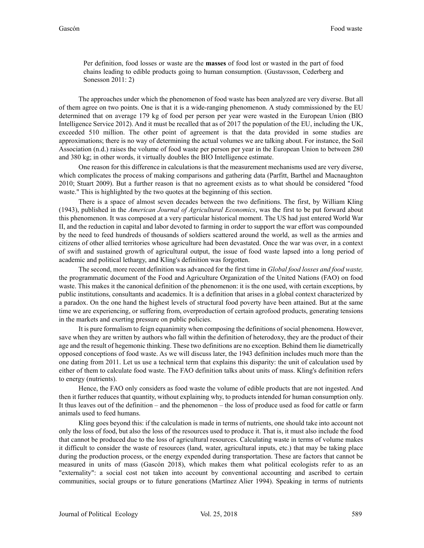Per definition, food losses or waste are the **masses** of food lost or wasted in the part of food chains leading to edible products going to human consumption. (Gustavsson, Cederberg and Sonesson 2011: 2)

The approaches under which the phenomenon of food waste has been analyzed are very diverse. But all of them agree on two points. One is that it is a wide-ranging phenomenon. A study commissioned by the EU determined that on average 179 kg of food per person per year were wasted in the European Union (BIO Intelligence Service 2012). And it must be recalled that as of 2017 the population of the EU, including the UK, exceeded 510 million. The other point of agreement is that the data provided in some studies are approximations; there is no way of determining the actual volumes we are talking about. For instance, the Soil Association (n.d.) raises the volume of food waste per person per year in the European Union to between 280 and 380 kg; in other words, it virtually doubles the BIO Intelligence estimate.

One reason for this difference in calculations is that the measurement mechanisms used are very diverse, which complicates the process of making comparisons and gathering data (Parfitt, Barthel and Macnaughton 2010; Stuart 2009). But a further reason is that no agreement exists as to what should be considered "food waste." This is highlighted by the two quotes at the beginning of this section.

There is a space of almost seven decades between the two definitions. The first, by William Kling (1943), published in the *American Journal of Agricultural Economics*, was the first to be put forward about this phenomenon. It was composed at a very particular historical moment. The US had just entered World War II, and the reduction in capital and labor devoted to farming in order to support the war effort was compounded by the need to feed hundreds of thousands of soldiers scattered around the world, as well as the armies and citizens of other allied territories whose agriculture had been devastated. Once the war was over, in a context of swift and sustained growth of agricultural output, the issue of food waste lapsed into a long period of academic and political lethargy, and Kling's definition was forgotten.

The second, more recent definition was advanced for the first time in *Global food losses and food waste,* the programmatic document of the Food and Agriculture Organization of the United Nations (FAO) on food waste. This makes it the canonical definition of the phenomenon: it is the one used, with certain exceptions, by public institutions, consultants and academics. It is a definition that arises in a global context characterized by a paradox. On the one hand the highest levels of structural food poverty have been attained. But at the same time we are experiencing, or suffering from, overproduction of certain agrofood products, generating tensions in the markets and exerting pressure on public policies.

It is pure formalism to feign equanimity when composing the definitions of social phenomena. However, save when they are written by authors who fall within the definition of heterodoxy, they are the product of their age and the result of hegemonic thinking. These two definitions are no exception. Behind them lie diametrically opposed conceptions of food waste. As we will discuss later, the 1943 definition includes much more than the one dating from 2011. Let us use a technical term that explains this disparity: the unit of calculation used by either of them to calculate food waste. The FAO definition talks about units of mass. Kling's definition refers to energy (nutrients).

Hence, the FAO only considers as food waste the volume of edible products that are not ingested. And then it further reduces that quantity, without explaining why, to products intended for human consumption only. It thus leaves out of the definition – and the phenomenon – the loss of produce used as food for cattle or farm animals used to feed humans.

Kling goes beyond this: if the calculation is made in terms of nutrients, one should take into account not only the loss of food, but also the loss of the resources used to produce it. That is, it must also include the food that cannot be produced due to the loss of agricultural resources. Calculating waste in terms of volume makes it difficult to consider the waste of resources (land, water, agricultural inputs, etc.) that may be taking place during the production process, or the energy expended during transportation. These are factors that cannot be measured in units of mass (Gascón 2018), which makes them what political ecologists refer to as an "externality": a social cost not taken into account by conventional accounting and ascribed to certain communities, social groups or to future generations (Martínez Alier 1994). Speaking in terms of nutrients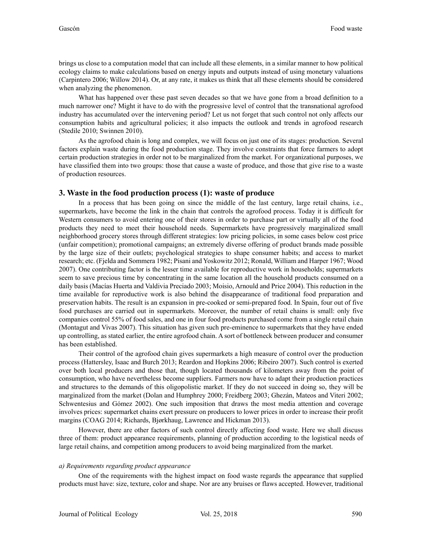brings us close to a computation model that can include all these elements, in a similar manner to how political ecology claims to make calculations based on energy inputs and outputs instead of using monetary valuations (Carpintero 2006; Willow 2014). Or, at any rate, it makes us think that all these elements should be considered when analyzing the phenomenon.

What has happened over these past seven decades so that we have gone from a broad definition to a much narrower one? Might it have to do with the progressive level of control that the transnational agrofood industry has accumulated over the intervening period? Let us not forget that such control not only affects our consumption habits and agricultural policies; it also impacts the outlook and trends in agrofood research (Stedile 2010; Swinnen 2010).

As the agrofood chain is long and complex, we will focus on just one of its stages: production. Several factors explain waste during the food production stage. They involve constraints that force farmers to adopt certain production strategies in order not to be marginalized from the market. For organizational purposes, we have classified them into two groups: those that cause a waste of produce, and those that give rise to a waste of production resources.

### **3. Waste in the food production process (1): waste of produce**

In a process that has been going on since the middle of the last century, large retail chains, i.e., supermarkets, have become the link in the chain that controls the agrofood process. Today it is difficult for Western consumers to avoid entering one of their stores in order to purchase part or virtually all of the food products they need to meet their household needs. Supermarkets have progressively marginalized small neighborhood grocery stores through different strategies: low pricing policies, in some cases below cost price (unfair competition); promotional campaigns; an extremely diverse offering of product brands made possible by the large size of their outlets; psychological strategies to shape consumer habits; and access to market research; etc. (Fjelda and Sommera 1982; Pisani and Yoskowitz 2012; Ronald, William and Harper 1967; Wood 2007). One contributing factor is the lesser time available for reproductive work in households; supermarkets seem to save precious time by concentrating in the same location all the household products consumed on a daily basis (Macías Huerta and Valdivia Preciado 2003; Moisio, Arnould and Price 2004). This reduction in the time available for reproductive work is also behind the disappearance of traditional food preparation and preservation habits. The result is an expansion in pre-cooked or semi-prepared food. In Spain, four out of five food purchases are carried out in supermarkets. Moreover, the number of retail chains is small: only five companies control 55% of food sales, and one in four food products purchased come from a single retail chain (Montagut and Vivas 2007). This situation has given such pre-eminence to supermarkets that they have ended up controlling, as stated earlier, the entire agrofood chain. A sort of bottleneck between producer and consumer has been established.

Their control of the agrofood chain gives supermarkets a high measure of control over the production process (Hattersley, Isaac and Burch 2013; Reardon and Hopkins 2006; Ribeiro 2007). Such control is exerted over both local producers and those that, though located thousands of kilometers away from the point of consumption, who have nevertheless become suppliers. Farmers now have to adapt their production practices and structures to the demands of this oligopolistic market. If they do not succeed in doing so, they will be marginalized from the market (Dolan and Humphrey 2000; Freidberg 2003; Ghezán, Mateos and Viteri 2002; Schwentesius and Gómez 2002). One such imposition that draws the most media attention and coverage involves prices: supermarket chains exert pressure on producers to lower prices in order to increase their profit margins (COAG 2014; Richards, Bjørkhaug, Lawrence and Hickman 2013).

However, there are other factors of such control directly affecting food waste. Here we shall discuss three of them: product appearance requirements, planning of production according to the logistical needs of large retail chains, and competition among producers to avoid being marginalized from the market.

#### *a) Requirements regarding product appearance*

One of the requirements with the highest impact on food waste regards the appearance that supplied products must have: size, texture, color and shape. Nor are any bruises or flaws accepted. However, traditional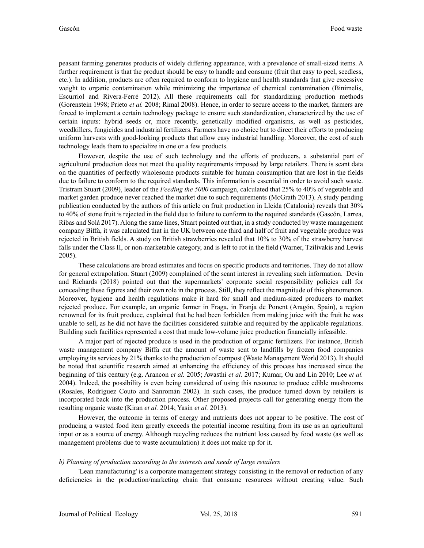peasant farming generates products of widely differing appearance, with a prevalence of small-sized items. A further requirement is that the product should be easy to handle and consume (fruit that easy to peel, seedless, etc.). In addition, products are often required to conform to hygiene and health standards that give excessive weight to organic contamination while minimizing the importance of chemical contamination (Binimelis, Escurriol and Rivera-Ferré 2012). All these requirements call for standardizing production methods (Gorenstein 1998; Prieto *et al.* 2008; Rimal 2008). Hence, in order to secure access to the market, farmers are forced to implement a certain technology package to ensure such standardization, characterized by the use of certain inputs: hybrid seeds or, more recently, genetically modified organisms, as well as pesticides, weedkillers, fungicides and industrial fertilizers. Farmers have no choice but to direct their efforts to producing uniform harvests with good-looking products that allow easy industrial handling. Moreover, the cost of such technology leads them to specialize in one or a few products.

However, despite the use of such technology and the efforts of producers, a substantial part of agricultural production does not meet the quality requirements imposed by large retailers. There is scant data on the quantities of perfectly wholesome products suitable for human consumption that are lost in the fields due to failure to conform to the required standards. This information is essential in order to avoid such waste. Tristram Stuart (2009), leader of the *Feeding the 5000* campaign, calculated that 25% to 40% of vegetable and market garden produce never reached the market due to such requirements (McGrath 2013). A study pending publication conducted by the authors of this article on fruit production in Lleida (Catalonia) reveals that 30% to 40% of stone fruit is rejected in the field due to failure to conform to the required standards (Gascón, Larrea, Ribas and Solà 2017). Along the same lines, Stuart pointed out that, in a study conducted by waste management company Biffa, it was calculated that in the UK between one third and half of fruit and vegetable produce was rejected in British fields. A study on British strawberries revealed that 10% to 30% of the strawberry harvest falls under the Class II, or non-marketable category, and is left to rot in the field (Warner, Tzilivakis and Lewis 2005).

These calculations are broad estimates and focus on specific products and territories. They do not allow for general extrapolation. Stuart (2009) complained of the scant interest in revealing such information. Devin and Richards (2018) pointed out that the supermarkets' corporate social responsibility policies call for concealing these figures and their own role in the process. Still, they reflect the magnitude of this phenomenon. Moreover, hygiene and health regulations make it hard for small and medium-sized producers to market rejected produce. For example, an organic farmer in Fraga, in Franja de Ponent (Aragón, Spain), a region renowned for its fruit produce, explained that he had been forbidden from making juice with the fruit he was unable to sell, as he did not have the facilities considered suitable and required by the applicable regulations. Building such facilities represented a cost that made low-volume juice production financially infeasible.

A major part of rejected produce is used in the production of organic fertilizers. For instance, British waste management company Biffa cut the amount of waste sent to landfills by frozen food companies employing its services by 21% thanks to the production of compost (Waste Management World 2013). It should be noted that scientific research aimed at enhancing the efficiency of this process has increased since the beginning of this century (e.g. Arancon *et al.* 2005; Awasthi *et al.* 2017; Kumar, Ou and Lin 2010; Lee *et al.* 2004). Indeed, the possibility is even being considered of using this resource to produce edible mushrooms (Rosales, Rodríguez Couto and Sanromán 2002). In such cases, the produce turned down by retailers is incorporated back into the production process. Other proposed projects call for generating energy from the resulting organic waste (Kiran *et al.* 2014; Yasin *et al.* 2013).

However, the outcome in terms of energy and nutrients does not appear to be positive. The cost of producing a wasted food item greatly exceeds the potential income resulting from its use as an agricultural input or as a source of energy. Although recycling reduces the nutrient loss caused by food waste (as well as management problems due to waste accumulation) it does not make up for it.

#### *b) Planning of production according to the interests and needs of large retailers*

'Lean manufacturing' is a corporate management strategy consisting in the removal or reduction of any deficiencies in the production/marketing chain that consume resources without creating value. Such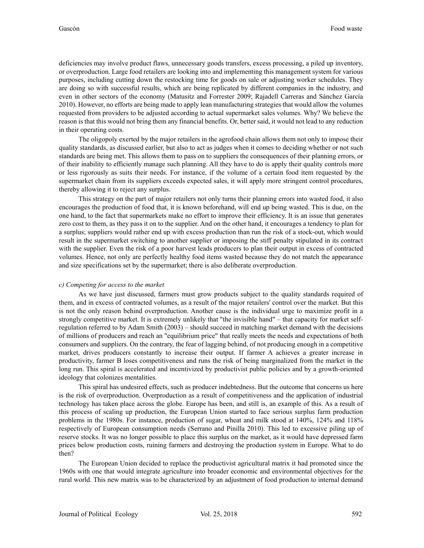deficiencies may involve product flaws, unnecessary goods transfers, excess processing, a piled up inventory, or overproduction. Large food retailers are looking into and implementing this management system for various purposes, including cutting down the restocking time for goods on sale or adjusting worker schedules. They are doing so with successful results, which are being replicated by different companies in the industry, and even in other sectors of the economy (Matusitz and Forrester 2009; Rajadell Carreras and Sánchez García 2010). However, no efforts are being made to apply lean manufacturing strategies that would allow the volumes requested from providers to be adjusted according to actual supermarket sales volumes. Why? We believe the reason is that this would not bring them any financial benefits. Or, better said, it would not lead to any reduction in their operating costs.

The oligopoly exerted by the major retailers in the agrofood chain allows them not only to impose their quality standards, as discussed earlier, but also to act as judges when it comes to deciding whether or not such standards are being met. This allows them to pass on to suppliers the consequences of their planning errors, or of their inability to efficiently manage such planning. All they have to do is apply their quality controls more or less rigorously as suits their needs. For instance, if the volume of a certain food item requested by the supermarket chain from its suppliers exceeds expected sales, it will apply more stringent control procedures, thereby allowing it to reject any surplus.

This strategy on the part of major retailers not only turns their planning errors into wasted food, it also encourages the production of food that, it is known beforehand, will end up being wasted. This is due, on the one hand, to the fact that supermarkets make no effort to improve their efficiency. It is an issue that generates zero cost to them, as they pass it on to the supplier. And on the other hand, it encourages a tendency to plan for a surplus; suppliers would rather end up with excess production than run the risk of a stock-out, which would result in the supermarket switching to another supplier or imposing the stiff penalty stipulated in its contract with the supplier. Even the risk of a poor harvest leads producers to plan their output in excess of contracted volumes. Hence, not only are perfectly healthy food items wasted because they do not match the appearance and size specifications set by the supermarket; there is also deliberate overproduction.

#### *c) Competing for access to the market*

As we have just discussed, farmers must grow products subject to the quality standards required of them, and in excess of contracted volumes, as a result of the major retailers' control over the market. But this is not the only reason behind overproduction. Another cause is the individual urge to maximize profit in a strongly competitive market. It is extremely unlikely that "the invisible hand" – that capacity for market selfregulation referred to by Adam Smith (2003) – should succeed in matching market demand with the decisions of millions of producers and reach an "equilibrium price" that really meets the needs and expectations of both consumers and suppliers. On the contrary, the fear of lagging behind, of not producing enough in a competitive market, drives producers constantly to increase their output. If farmer A achieves a greater increase in productivity, farmer B loses competitiveness and runs the risk of being marginalized from the market in the long run. This spiral is accelerated and incentivized by productivist public policies and by a growth-oriented ideology that colonizes mentalities.

This spiral has undesired effects, such as producer indebtedness. But the outcome that concerns us here is the risk of overproduction. Overproduction as a result of competitiveness and the application of industrial technology has taken place across the globe. Europe has been, and still is, an example of this. As a result of this process of scaling up production, the European Union started to face serious surplus farm production problems in the 1980s. For instance, production of sugar, wheat and milk stood at 140%, 124% and 118% respectively of European consumption needs (Serrano and Pinilla 2010). This led to excessive piling up of reserve stocks. It was no longer possible to place this surplus on the market, as it would have depressed farm prices below production costs, ruining farmers and destroying the production system in Europe. What to do then?

The European Union decided to replace the productivist agricultural matrix it had promoted since the 1960s with one that would integrate agriculture into broader economic and environmental objectives for the rural world. This new matrix was to be characterized by an adjustment of food production to internal demand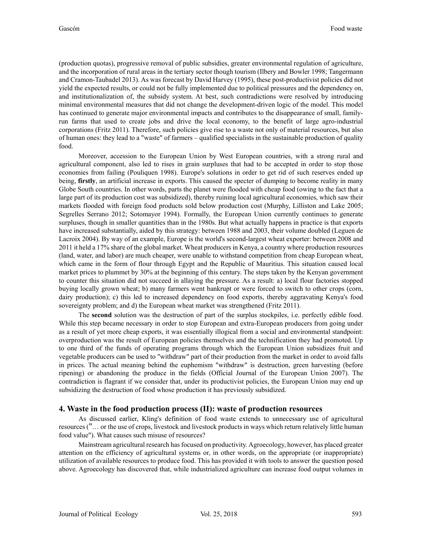(production quotas), progressive removal of public subsidies, greater environmental regulation of agriculture, and the incorporation of rural areas in the tertiary sector though tourism (Ilbery and Bowler 1998; Tangermann and Cramon-Taubadel 2013). As was forecast by David Harvey (1995), these post-productivist policies did not yield the expected results, or could not be fully implemented due to political pressures and the dependency on, and institutionalization of, the subsidy system. At best, such contradictions were resolved by introducing minimal environmental measures that did not change the development-driven logic of the model. This model has continued to generate major environmental impacts and contributes to the disappearance of small, familyrun farms that used to create jobs and drive the local economy, to the benefit of large agro-industrial corporations (Fritz 2011). Therefore, such policies give rise to a waste not only of material resources, but also of human ones: they lead to a "waste" of farmers – qualified specialists in the sustainable production of quality food.

Moreover, accession to the European Union by West European countries, with a strong rural and agricultural component, also led to rises in grain surpluses that had to be accepted in order to stop those economies from failing (Pouliquen 1998). Europe's solutions in order to get rid of such reserves ended up being, **firstly**, an artificial increase in exports. This caused the specter of dumping to become reality in many Globe South countries. In other words, parts the planet were flooded with cheap food (owing to the fact that a large part of its production cost was subsidized), thereby ruining local agricultural economies, which saw their markets flooded with foreign food products sold below production cost (Murphy, Lilliston and Lake 2005; Segrelles Serrano 2012; Sotomayor 1994). Formally, the European Union currently continues to generate surpluses, though in smaller quantities than in the 1980s. But what actually happens in practice is that exports have increased substantially, aided by this strategy: between 1988 and 2003, their volume doubled (Leguen de Lacroix 2004). By way of an example, Europe is the world's second-largest wheat exporter: between 2008 and 2011 it held a 17% share of the global market. Wheat producers in Kenya, a country where production resources (land, water, and labor) are much cheaper, were unable to withstand competition from cheap European wheat, which came in the form of flour through Egypt and the Republic of Mauritius. This situation caused local market prices to plummet by 30% at the beginning of this century. The steps taken by the Kenyan government to counter this situation did not succeed in allaying the pressure. As a result: a) local flour factories stopped buying locally grown wheat; b) many farmers went bankrupt or were forced to switch to other crops (corn, dairy production); c) this led to increased dependency on food exports, thereby aggravating Kenya's food sovereignty problem; and d) the European wheat market was strengthened (Fritz 2011).

The **second** solution was the destruction of part of the surplus stockpiles, i.e. perfectly edible food. While this step became necessary in order to stop European and extra-European producers from going under as a result of yet more cheap exports, it was essentially illogical from a social and environmental standpoint: overproduction was the result of European policies themselves and the technification they had promoted. Up to one third of the funds of operating programs through which the European Union subsidizes fruit and vegetable producers can be used to "withdraw" part of their production from the market in order to avoid falls in prices. The actual meaning behind the euphemism "withdraw" is destruction, green harvesting (before ripening) or abandoning the produce in the fields (Official Journal of the European Union 2007). The contradiction is flagrant if we consider that, under its productivist policies, the European Union may end up subsidizing the destruction of food whose production it has previously subsidized.

### **4. Waste in the food production process (II): waste of production resources**

As discussed earlier, Kling's definition of food waste extends to unnecessary use of agricultural resources ("… or the use of crops, livestock and livestock products in ways which return relatively little human food value"). What causes such misuse of resources?

Mainstream agricultural research has focused on productivity. Agroecology, however, has placed greater attention on the efficiency of agricultural systems or, in other words, on the appropriate (or inappropriate) utilization of available resources to produce food. This has provided it with tools to answer the question posed above. Agroecology has discovered that, while industrialized agriculture can increase food output volumes in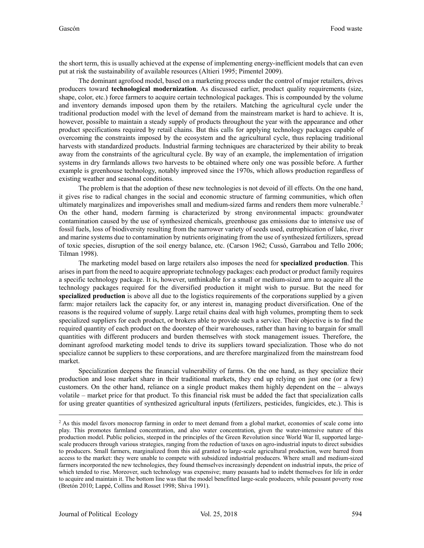the short term, this is usually achieved at the expense of implementing energy-inefficient models that can even put at risk the sustainability of available resources (Altieri 1995; Pimentel 2009).

The dominant agrofood model, based on a marketing process under the control of major retailers, drives producers toward **technological modernization**. As discussed earlier, product quality requirements (size, shape, color, etc.) force farmers to acquire certain technological packages. This is compounded by the volume and inventory demands imposed upon them by the retailers. Matching the agricultural cycle under the traditional production model with the level of demand from the mainstream market is hard to achieve. It is, however, possible to maintain a steady supply of products throughout the year with the appearance and other product specifications required by retail chains. But this calls for applying technology packages capable of overcoming the constraints imposed by the ecosystem and the agricultural cycle, thus replacing traditional harvests with standardized products. Industrial farming techniques are characterized by their ability to break away from the constraints of the agricultural cycle. By way of an example, the implementation of irrigation systems in dry farmlands allows two harvests to be obtained where only one was possible before. A further example is greenhouse technology, notably improved since the 1970s, which allows production regardless of existing weather and seasonal conditions.

The problem is that the adoption of these new technologies is not devoid of ill effects. On the one hand, it gives rise to radical changes in the social and economic structure of farming communities, which often ultimately marginalizes and impoverishes small and medium-sized farms and renders them more vulnerable. [2](#page-7-0) On the other hand, modern farming is characterized by strong environmental impacts: groundwater contamination caused by the use of synthesized chemicals, greenhouse gas emissions due to intensive use of fossil fuels, loss of biodiversity resulting from the narrower variety of seeds used, eutrophication of lake, river and marine systems due to contamination by nutrients originating from the use of synthesized fertilizers, spread of toxic species, disruption of the soil energy balance, etc. (Carson 1962; Cussó, Garrabou and Tello 2006; Tilman 1998).

The marketing model based on large retailers also imposes the need for **specialized production**. This arises in part from the need to acquire appropriate technology packages: each product or product family requires a specific technology package. It is, however, unthinkable for a small or medium-sized arm to acquire all the technology packages required for the diversified production it might wish to pursue. But the need for **specialized production** is above all due to the logistics requirements of the corporations supplied by a given farm: major retailers lack the capacity for, or any interest in, managing product diversification. One of the reasons is the required volume of supply. Large retail chains deal with high volumes, prompting them to seek specialized suppliers for each product, or brokers able to provide such a service. Their objective is to find the required quantity of each product on the doorstep of their warehouses, rather than having to bargain for small quantities with different producers and burden themselves with stock management issues. Therefore, the dominant agrofood marketing model tends to drive its suppliers toward specialization. Those who do not specialize cannot be suppliers to these corporations, and are therefore marginalized from the mainstream food market.

Specialization deepens the financial vulnerability of farms. On the one hand, as they specialize their production and lose market share in their traditional markets, they end up relying on just one (or a few) customers. On the other hand, reliance on a single product makes them highly dependent on the – always volatile – market price for that product. To this financial risk must be added the fact that specialization calls for using greater quantities of synthesized agricultural inputs (fertilizers, pesticides, fungicides, etc.). This is

<span id="page-7-0"></span><sup>&</sup>lt;sup>2</sup> As this model favors monocrop farming in order to meet demand from a global market, economies of scale come into play. This promotes farmland concentration, and also water concentration, given the water-intensive nature of this production model. Public policies, steeped in the principles of the Green Revolution since World War II, supported largescale producers through various strategies, ranging from the reduction of taxes on agro-industrial inputs to direct subsidies to producers. Small farmers, marginalized from this aid granted to large-scale agricultural production, were barred from access to the market: they were unable to compete with subsidized industrial producers. Where small and medium-sized farmers incorporated the new technologies, they found themselves increasingly dependent on industrial inputs, the price of which tended to rise. Moreover, such technology was expensive; many peasants had to indebt themselves for life in order to acquire and maintain it. The bottom line was that the model benefitted large-scale producers, while peasant poverty rose (Bretón 2010; Lappé, Collins and Rosset 1998; Shiva 1991).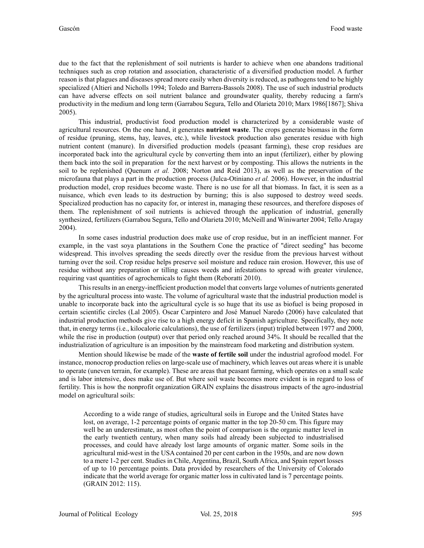due to the fact that the replenishment of soil nutrients is harder to achieve when one abandons traditional techniques such as crop rotation and association, characteristic of a diversified production model. A further reason is that plagues and diseases spread more easily when diversity is reduced, as pathogens tend to be highly specialized (Altieri and Nicholls 1994; Toledo and Barrera-Bassols 2008). The use of such industrial products can have adverse effects on soil nutrient balance and groundwater quality, thereby reducing a farm's productivity in the medium and long term (Garrabou Segura, Tello and Olarieta 2010; Marx 1986[1867]; Shiva 2005).

This industrial, productivist food production model is characterized by a considerable waste of agricultural resources. On the one hand, it generates **nutrient waste**. The crops generate biomass in the form of residue (pruning, stems, hay, leaves, etc.), while livestock production also generates residue with high nutrient content (manure). In diversified production models (peasant farming), these crop residues are incorporated back into the agricultural cycle by converting them into an input (fertilizer), either by plowing them back into the soil in preparation for the next harvest or by composting. This allows the nutrients in the soil to be replenished (Quenum *et al.* 2008; Norton and Reid 2013), as well as the preservation of the microfauna that plays a part in the production process (Julca-Otiniano *et al.* 2006). However, in the industrial production model, crop residues become waste. There is no use for all that biomass. In fact, it is seen as a nuisance, which even leads to its destruction by burning; this is also supposed to destroy weed seeds. Specialized production has no capacity for, or interest in, managing these resources, and therefore disposes of them. The replenishment of soil nutrients is achieved through the application of industrial, generally synthesized, fertilizers (Garrabou Segura, Tello and Olarieta 2010; McNeill and Winiwarter 2004; Tello Aragay 2004).

In some cases industrial production does make use of crop residue, but in an inefficient manner. For example, in the vast soya plantations in the Southern Cone the practice of "direct seeding" has become widespread. This involves spreading the seeds directly over the residue from the previous harvest without turning over the soil. Crop residue helps preserve soil moisture and reduce rain erosion. However, this use of residue without any preparation or tilling causes weeds and infestations to spread with greater virulence, requiring vast quantities of agrochemicals to fight them (Reboratti 2010).

This results in an energy-inefficient production model that converts large volumes of nutrients generated by the agricultural process into waste. The volume of agricultural waste that the industrial production model is unable to incorporate back into the agricultural cycle is so huge that its use as biofuel is being proposed in certain scientific circles (Lal 2005). Oscar Carpintero and José Manuel Naredo (2006) have calculated that industrial production methods give rise to a high energy deficit in Spanish agriculture. Specifically, they note that, in energy terms (i.e., kilocalorie calculations), the use of fertilizers (input) tripled between 1977 and 2000, while the rise in production (output) over that period only reached around 34%. It should be recalled that the industrialization of agriculture is an imposition by the mainstream food marketing and distribution system.

Mention should likewise be made of the **waste of fertile soil** under the industrial agrofood model. For instance, monocrop production relies on large-scale use of machinery, which leaves out areas where it is unable to operate (uneven terrain, for example). These are areas that peasant farming, which operates on a small scale and is labor intensive, does make use of. But where soil waste becomes more evident is in regard to loss of fertility. This is how the nonprofit organization GRAIN explains the disastrous impacts of the agro-industrial model on agricultural soils:

According to a wide range of studies, agricultural soils in Europe and the United States have lost, on average, 1-2 percentage points of organic matter in the top 20-50 cm. This figure may well be an underestimate, as most often the point of comparison is the organic matter level in the early twentieth century, when many soils had already been subjected to industrialised processes, and could have already lost large amounts of organic matter. Some soils in the agricultural mid-west in the USA contained 20 per cent carbon in the 1950s, and are now down to a mere 1-2 per cent. Studies in Chile, Argentina, Brazil, South Africa, and Spain report losses of up to 10 percentage points. Data provided by researchers of the University of Colorado indicate that the world average for organic matter loss in cultivated land is 7 percentage points. (GRAIN 2012: 115).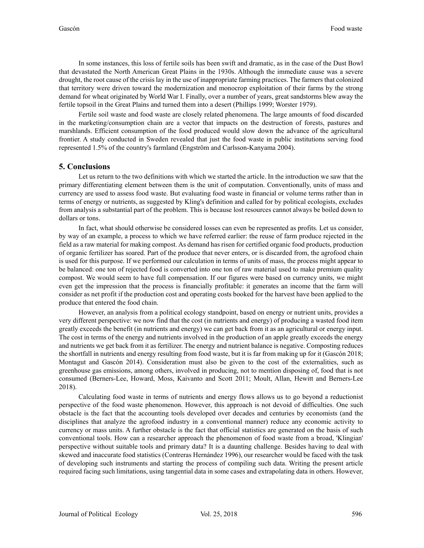In some instances, this loss of fertile soils has been swift and dramatic, as in the case of the Dust Bowl that devastated the North American Great Plains in the 1930s. Although the immediate cause was a severe drought, the root cause of the crisis lay in the use of inappropriate farming practices. The farmers that colonized that territory were driven toward the modernization and monocrop exploitation of their farms by the strong demand for wheat originated by World War I. Finally, over a number of years, great sandstorms blew away the fertile topsoil in the Great Plains and turned them into a desert (Phillips 1999; Worster 1979).

Fertile soil waste and food waste are closely related phenomena. The large amounts of food discarded in the marketing/consumption chain are a vector that impacts on the destruction of forests, pastures and marshlands. Efficient consumption of the food produced would slow down the advance of the agricultural frontier. A study conducted in Sweden revealed that just the food waste in public institutions serving food represented 1.5% of the country's farmland (Engström and Carlsson-Kanyama 2004).

### **5. Conclusions**

Let us return to the two definitions with which we started the article. In the introduction we saw that the primary differentiating element between them is the unit of computation. Conventionally, units of mass and currency are used to assess food waste. But evaluating food waste in financial or volume terms rather than in terms of energy or nutrients, as suggested by Kling's definition and called for by political ecologists, excludes from analysis a substantial part of the problem. This is because lost resources cannot always be boiled down to dollars or tons.

In fact, what should otherwise be considered losses can even be represented as profits. Let us consider, by way of an example, a process to which we have referred earlier: the reuse of farm produce rejected in the field as a raw material for making compost. As demand has risen for certified organic food products, production of organic fertilizer has soared. Part of the produce that never enters, or is discarded from, the agrofood chain is used for this purpose. If we performed our calculation in terms of units of mass, the process might appear to be balanced: one ton of rejected food is converted into one ton of raw material used to make premium quality compost. We would seem to have full compensation. If our figures were based on currency units, we might even get the impression that the process is financially profitable: it generates an income that the farm will consider as net profit if the production cost and operating costs booked for the harvest have been applied to the produce that entered the food chain.

However, an analysis from a political ecology standpoint, based on energy or nutrient units, provides a very different perspective: we now find that the cost (in nutrients and energy) of producing a wasted food item greatly exceeds the benefit (in nutrients and energy) we can get back from it as an agricultural or energy input. The cost in terms of the energy and nutrients involved in the production of an apple greatly exceeds the energy and nutrients we get back from it as fertilizer. The energy and nutrient balance is negative. Composting reduces the shortfall in nutrients and energy resulting from food waste, but it is far from making up for it (Gascón 2018; Montagut and Gascón 2014). Consideration must also be given to the cost of the externalities, such as greenhouse gas emissions, among others, involved in producing, not to mention disposing of, food that is not consumed (Berners-Lee, Howard, Moss, Kaivanto and Scott 2011; Moult, Allan, Hewitt and Berners-Lee 2018).

Calculating food waste in terms of nutrients and energy flows allows us to go beyond a reductionist perspective of the food waste phenomenon. However, this approach is not devoid of difficulties. One such obstacle is the fact that the accounting tools developed over decades and centuries by economists (and the disciplines that analyze the agrofood industry in a conventional manner) reduce any economic activity to currency or mass units. A further obstacle is the fact that official statistics are generated on the basis of such conventional tools. How can a researcher approach the phenomenon of food waste from a broad, 'Klingian' perspective without suitable tools and primary data? It is a daunting challenge. Besides having to deal with skewed and inaccurate food statistics (Contreras Hernández 1996), our researcher would be faced with the task of developing such instruments and starting the process of compiling such data. Writing the present article required facing such limitations, using tangential data in some cases and extrapolating data in others. However,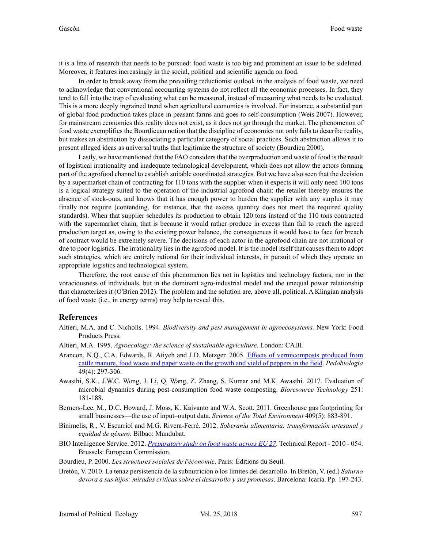it is a line of research that needs to be pursued: food waste is too big and prominent an issue to be sidelined. Moreover, it features increasingly in the social, political and scientific agenda on food.

In order to break away from the prevailing reductionist outlook in the analysis of food waste, we need to acknowledge that conventional accounting systems do not reflect all the economic processes. In fact, they tend to fall into the trap of evaluating what can be measured, instead of measuring what needs to be evaluated. This is a more deeply ingrained trend when agricultural economics is involved. For instance, a substantial part of global food production takes place in peasant farms and goes to self-consumption (Weis 2007). However, for mainstream economics this reality does not exist, as it does not go through the market. The phenomenon of food waste exemplifies the Bourdieuan notion that the discipline of economics not only fails to describe reality, but makes an abstraction by dissociating a particular category of social practices. Such abstraction allows it to present alleged ideas as universal truths that legitimize the structure of society (Bourdieu 2000).

Lastly, we have mentioned that the FAO considers that the overproduction and waste of food is the result of logistical irrationality and inadequate technological development, which does not allow the actors forming part of the agrofood channel to establish suitable coordinated strategies. But we have also seen that the decision by a supermarket chain of contracting for 110 tons with the supplier when it expects it will only need 100 tons is a logical strategy suited to the operation of the industrial agrofood chain: the retailer thereby ensures the absence of stock-outs, and knows that it has enough power to burden the supplier with any surplus it may finally not require (contending, for instance, that the excess quantity does not meet the required quality standards). When that supplier schedules its production to obtain 120 tons instead of the 110 tons contracted with the supermarket chain, that is because it would rather produce in excess than fail to reach the agreed production target as, owing to the existing power balance, the consequences it would have to face for breach of contract would be extremely severe. The decisions of each actor in the agrofood chain are not irrational or due to poor logistics. The irrationality lies in the agrofood model. It is the model itself that causes them to adopt such strategies, which are entirely rational for their individual interests, in pursuit of which they operate an appropriate logistics and technological system.

Therefore, the root cause of this phenomenon lies not in logistics and technology factors, nor in the voraciousness of individuals, but in the dominant agro-industrial model and the unequal power relationship that characterizes it (O'Brien 2012). The problem and the solution are, above all, political. A Klingian analysis of food waste (i.e., in energy terms) may help to reveal this.

### **References**

- Altieri, M.A. and C. Nicholls. 1994. *Biodiversity and pest management in agroecosystems.* New York: Food Products Press.
- Altieri, M.A. 1995. *Agroecology: the science of sustainable agriculture*. London: CABI.
- Arancon, N.Q., C.A. Edwards, R. Atiyeh and J.D. Metzger. 2005. [Effects of vermicomposts produced from](https://pdfs.semanticscholar.org/4d44/e4405f1195a37f42f95e75198477f63ad84f.pdf)  [cattle manure, food waste and paper waste on the growth and yield of](https://pdfs.semanticscholar.org/4d44/e4405f1195a37f42f95e75198477f63ad84f.pdf) peppers in the field. *Pedobiologia* 49(4): 297-306.
- Awasthi, S.K., [J.W.C. Wong,](https://www.sciencedirect.com/science/article/pii/S0960852417321752?via%3Dihub#!) [J. Li,](https://www.sciencedirect.com/science/article/pii/S0960852417321752?via%3Dihub#!) [Q. Wang,](https://www.sciencedirect.com/science/article/pii/S0960852417321752?via%3Dihub#!) [Z. Zhang, S.](https://www.sciencedirect.com/science/article/pii/S0960852417321752?via%3Dihub#!) [Kumar](https://www.sciencedirect.com/science/article/pii/S0960852417321752?via%3Dihub#!) and [M.K. Awasthi.](https://www.sciencedirect.com/science/article/pii/S0960852417321752?via%3Dihub#!) 2017. Evaluation of microbial dynamics during post-consumption food waste composting. *Bioresource Technology* 251: 181-188.
- Berners-Lee, M., D.C. Howard, J. Moss, K. Kaivanto and W.A. Scott. 2011. Greenhouse gas footprinting for small businesses—the use of input–output data. *Science of the Total Environment* 409(5): 883-891.
- Binimelis, R., V. Escurriol and M.G. Rivera-Ferré. 2012. *Soberanía alimentaria: transformación artesanal y equidad de género*. Bilbao: Mundubat.
- BIO Intelligence Service. 2012. *[Preparatory study on food waste across EU 27](http://ec.europa.eu/environment/eussd/pdf/bio_foodwaste_report.pdf)*. Technical Report 2010 054. Brussels: European Commission.
- Bourdieu, P. 2000. *Les structures sociales de l'économie*. Paris: Éditions du Seuil.
- Bretón, V. 2010. La tenaz persistencia de la subnutrición o los límites del desarrollo. In Bretón, V. (ed.) *Saturno devora a sus hijos: miradas críticas sobre el desarrollo y sus promesas*. Barcelona: Icaria. Pp. 197-243.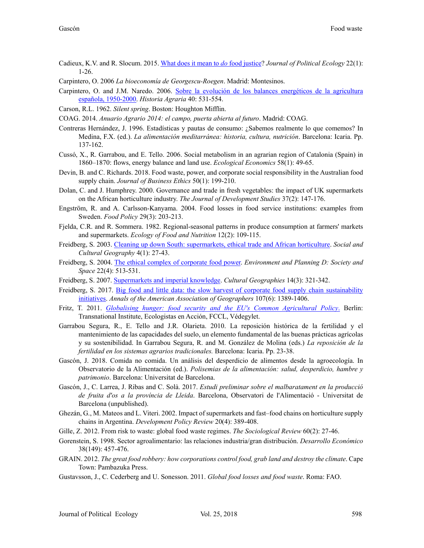- Cadieux, K.V. and R. Slocum. 2015. [What does it mean to](http://dx.doi.org/10.2458/v22i1.21076) *do* food justice? *Journal of Political Ecology* 22(1): 1-26.
- Carpintero, O. 2006 *La bioeconomía de Georgescu-Roegen*. Madrid: Montesinos.
- Carpintero, O. and J.M. Naredo. 2006. [Sobre la evolución de los balances energéticos de la agricultura](http://repositori.uji.es/xmlui/handle/10234/161678)  [española, 1950-2000.](http://repositori.uji.es/xmlui/handle/10234/161678) *Historia Agraria* 40: 531-554.
- Carson, R.L. 1962. *Silent spring*. Boston: Houghton Mifflin.
- COAG. 2014. *Anuario Agrario 2014: el campo, puerta abierta al futuro*. Madrid: COAG.
- Contreras Hernández, J. 1996. Estadísticas y pautas de consumo: ¿Sabemos realmente lo que comemos? In Medina, F.X. (ed.). *La alimentación meditarránea: historia, cultura, nutrición*. Barcelona: Icaria. Pp. 137-162.
- Cussó, X., R. Garrabou, and E. Tello. 2006. Social metabolism in an agrarian region of Catalonia (Spain) in 1860–1870: flows, energy balance and land use. *Ecological Economics* 58(1): 49-65.
- Devin, B. and C. Richards. 2018. Food waste, power, and corporate social responsibility in the Australian food supply chain. *Journal of Business Ethics* 50(1): 199-210.
- Dolan, C. and J. Humphrey. 2000. Governance and trade in fresh vegetables: the impact of UK supermarkets on the African horticulture industry. *The Journal of Development Studies* 37(2): 147-176.
- Engström, R. and A. Carlsson-Kanyama. 2004. Food losses in food service institutions: examples from Sweden. *Food Policy* 29(3): 203-213.
- Fjelda, C.R. and R. Sommera. 1982. Regional-seasonal patterns in produce consumption at farmers' markets and supermarkets. *Ecology of Food and Nutrition* 12(2): 109-115.
- Freidberg, S. 2003. [Cleaning up down South: supermarkets, ethical trade and](https://susannefreidberg.weebly.com/uploads/1/6/5/6/16560544/cleaningup.pdf) African horticulture. *Social and Cultural Geography* 4(1): 27-43.
- Freidberg, S. 2004. [The ethical complex of corporate food power.](https://susannefreidberg.weebly.com/uploads/1/6/5/6/16560544/ethicalcomplex.pdf) *Environment and Planning D: Society and Space* 22(4): 513-531.
- Freidberg, S. 2007. [Supermarkets and imperial knowledge.](https://susannefreidberg.weebly.com/uploads/1/6/5/6/16560544/impknowledge.pdf) *Cultural Geographies* 14(3): 321-342.
- Freidberg, S. 2017. [Big food and little data: the slow harvest of corporate food supply chain sustainability](https://susannefreidberg.weebly.com/uploads/1/6/5/6/16560544/big_food_and_little_data_freidberg.pdf)  [initiatives.](https://susannefreidberg.weebly.com/uploads/1/6/5/6/16560544/big_food_and_little_data_freidberg.pdf) *Annals of the American Association of Geographers* 107(6): 1389-1406.
- Fritz, T. 2011. *[Globalising hunger: food security and the](https://www.tni.org/en/paper/globalising-hunger) EU's Common Agricultural Policy*. Berlin: Transnational Institute, Ecologistas en Acción, FCCL, Védegylet.
- Garrabou Segura, R., E. Tello and J.R. Olarieta. 2010. La reposición histórica de la fertilidad y el mantenimiento de las capacidades del suelo, un elemento fundamental de las buenas prácticas agrícolas y su sostenibilidad. In Garrabou Segura, R. and M. González de Molina (eds.) *La reposición de la fertilidad en los sistemas agrarios tradicionales.* Barcelona: Icaria. Pp. 23-38.
- Gascón, J. 2018. Comida no comida. Un análisis del desperdicio de alimentos desde la agroecología. In Observatorio de la Alimentación (ed.). *Polisemias de la alimentación: salud, desperdicio, hambre y patrimonio*. Barcelona: Universitat de Barcelona.
- Gascón, J., C. Larrea, J. Ribas and C. Solà. 2017. *Estudi preliminar sobre el malbaratament en la producció de fruita d'os a la província de Lleida*. Barcelona, Observatori de l'Alimentació - Universitat de Barcelona (unpublished).
- Ghezán, G., M. Mateos and L. Viteri. 2002. Impact of supermarkets and fast–food chains on horticulture supply chains in Argentina. *Development Policy Review* 20(4): 389-408.
- Gille, Z. 2012. From risk to waste: global food waste regimes. *The Sociological Review* 60(2): 27-46.
- Gorenstein, S. 1998. Sector agroalimentario: las relaciones industria/gran distribución. *Desarrollo Económico* 38(149): 457-476.
- GRAIN. 2012. *The great food robbery: how corporations control food, grab land and destroy the climate*. Cape Town: Pambazuka Press.
- Gustavsson, J., C. Cederberg and U. Sonesson. 2011. *Global food losses and food waste*. Roma: FAO.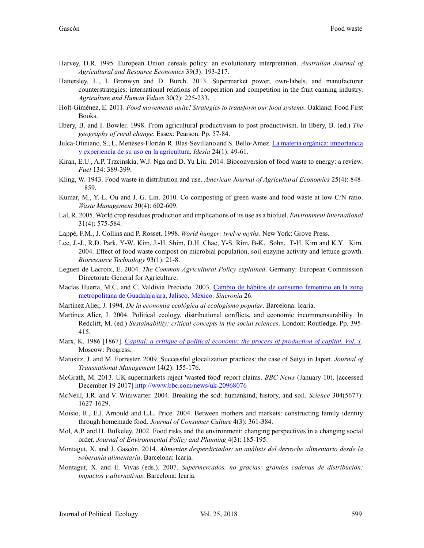- Harvey, D.R. 1995. European Union cereals policy: an evolutionary interpretation. *Australian Journal of Agricultural and Resource Economics* 39(3): 193-217.
- Hattersley, L., I. Bronwyn and D. Burch. 2013. Supermarket power, own-labels, and manufacturer counterstrategies: international relations of cooperation and competition in the fruit canning industry. *Agriculture and Human Values* 30(2): 225-233.
- Holt-Giménez, E. 2011. *Food movements unite! Strategies to transform our food systems*. Oakland: Food First Books.
- Ilbery, B. and I. Bowler. 1998. From agricultural productivism to post-productivism. In Ilbery, B. (ed.) *The geography of rural change*. Essex: Pearson. Pp. 57-84.
- Julca-Otiniano, S., L. Meneses-Florián, R. Blas-Sevillano and S. Bello-Amez[. La materia orgánica: importancia](https://www.uv.mx/personal/tcarmona/files/2010/08/Julca-et-al-2006.pdf)  [y experiencia de su uso en la agricultura](https://www.uv.mx/personal/tcarmona/files/2010/08/Julca-et-al-2006.pdf)**.** *Idesia* 24(1): 49-61.
- Kiran, E.U., A.P. Trzcinskia, W.J. Nga and D. Yu Liu. 2014. Bioconversion of food waste to energy: a review. *Fuel* 134: 389-399.
- Kling, W. 1943. Food waste in distribution and use. *American Journal of Agricultural Economics* 25(4): 848- 859.
- Kumar, M., Y.-L. Ou and J.-G. Lin. 2010. Co-composting of green waste and food waste at low C/N ratio. *Waste Management* 30(4): 602-609.
- Lal, R. 2005. World crop residues production and implications of its use as a biofuel. *Environment International* 31(4): 575-584.
- Lappé, F.M., J. Collins and P. Rosset. 1998. *World hunger: twelve myths*. New York: Grove Press.
- Lee, J.-J., R.D. Park, Y-W. Kim, J.-H. Shim, D.H. Chae, Y-S. Rim, B-K. Sohn, T-H. Kim and K.Y. Kim. 2004. Effect of food waste compost on microbial population, soil enzyme activity and lettuce growth. *Bioresource Technology* 93(1): 21-8.
- Leguen de Lacroix, E. 2004. *The Common Agricultural Policy explained*. Germany: European Commission Directorate General for Agriculture.
- Macías Huerta, M.C. and C. Valdivia Preciado. 2003. [Cambio de hábitos de consumo femenino en la zona](http://sincronia.cucsh.udg.mx/huertaprim03.htm)  [metropolitana de Guadalajajara, Jalisco, México.](http://sincronia.cucsh.udg.mx/huertaprim03.htm) *Sincronía* 26.
- Martínez Alier, J. 1994. *De la economía ecológica al ecologismo popular*. Barcelona: Icaria.
- Martinez Alier, J. 2004. Political ecology, distributional conflicts, and economic incommensurability. In Redclift, M. (ed.) *Sustainability: critical concepts in the social sciences*. London: Routledge. Pp. 395- 415.
- Marx, K. 1986 [1867]. C*[apital: a critique of political economy: the process of production of capital. Vol. 1.](https://www.marxists.org/archive/marx/works/download/pdf/Capital-Volume-I.pdf)*  Moscow: Progress.
- Matusitz, J. and M. Forrester. 2009. Successful glocalization practices: the case of Seiyu in Japan. *Journal of Transnational Management* 14(2): 155-176.
- McGrath, M. 2013. UK supermarkets reject 'wasted food' report claims. *BBC News* (January 10). [accessed December 19 2017]<http://www.bbc.com/news/uk-20968076>
- McNeill, J.R. and V. Winiwarter. 2004. Breaking the sod: humankind, history, and soil. *Science* 304(5677): 1627-1629.
- Moisio, R., E.J. Arnould and L.L. Price. 2004. Between mothers and markets: constructing family identity through homemade food. *Journal of Consumer Culture* 4(3): 361-384.
- Mol, A.P. and H. Bulkeley. 2002. Food risks and the environment: changing perspectives in a changing social order. *Journal of Environmental Policy and Planning* 4(3): 185-195.
- Montagut, X. and J. Gascón. 2014. *Alimentos desperdiciados: un análisis del derroche alimentario desde la soberanía alimentaria*. Barcelona: Icaria.
- Montagut, X. and E. Vivas (eds.). 2007. *Supermercados, no gracias: grandes cadenas de distribución: impactos y alternativas*. Barcelona: Icaria.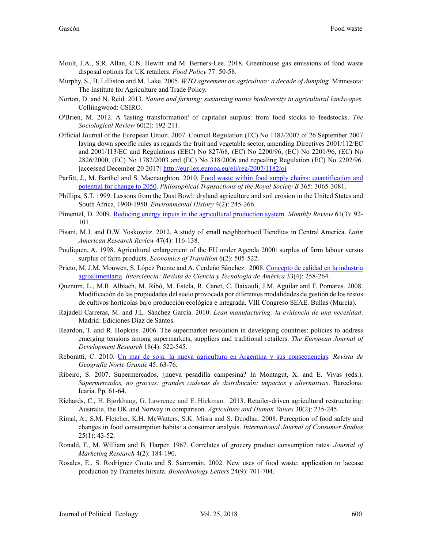- Moult, J.A., S.R. Allan, C.N. Hewitt and M. Berners-Lee. 2018. Greenhouse gas emissions of food waste disposal options for UK retailers. *Food Policy* 77: 50-58.
- Murphy, S., B. Lilliston and M. Lake. 2005. *WTO agreement on agriculture: a decade of dumping.* Minnesota: The Institute for Agriculture and Trade Policy.
- Norton, D. and N. Reid. 2013. *Nature and farming: sustaining native biodiversity in agricultural landscapes.* Colliingwood: CSIRO.
- O'Brien, M. 2012. A 'lasting transformation' of capitalist surplus: from food stocks to feedstocks. *The Sociological Review* 60(2): 192-211.
- Official Journal of the European Union. 2007. Council Regulation (EC) No 1182/2007 of 26 September 2007 laying down specific rules as regards the fruit and vegetable sector, amending Directives 2001/112/EC and 2001/113/EC and Regulations (EEC) No 827/68, (EC) No 2200/96, (EC) No 2201/96, (EC) No 2826/2000, (EC) No 1782/2003 and (EC) No 318/2006 and repealing Regulation (EC) No 2202/96. [accessed December 20 2017]<http://eur-lex.europa.eu/eli/reg/2007/1182/oj>
- Parfitt, J., M. Barthel and S. Macnaughton. 2010. [Food waste within food supply chains: quantification and](http://rstb.royalsocietypublishing.org/content/365/1554/3065)  [potential for change to 2050.](http://rstb.royalsocietypublishing.org/content/365/1554/3065) *Philosophical Transactions of the Royal Society B* 365: 3065-3081.
- Phillips, S.T. 1999. Lessons from the Dust Bowl: dryland agriculture and soil erosion in the United States and South Africa, 1900-1950. *Environmental History* 4(2): 245-266.
- Pimentel, D. 2009. [Reducing energy inputs in the agricultural production system.](https://monthlyreview.org/2009/07/01/reducing-energy-inputs-in-the-agricultural-production-system/) *Monthly Review* 61(3): 92- 101.
- Pisani, M.J. and D.W. Yoskowitz. 2012. A study of small neighborhood Tienditas in Central America. *Latin American Research Review* 47(4): 116-138.
- Pouliquen, A. 1998. Agricultural enlargement of the EU under Agenda 2000: surplus of farm labour versus surplus of farm products. *Economics of Transition* 6(2): 505-522.
- Prieto, M. J.M. Mouwen, S. López Puente and A. Cerdeño Sánchez. 2008. [Concepto de calidad en la industria](http://www.redalyc.org/articulo.oa?id=33933405)  [agroalimentaria.](http://www.redalyc.org/articulo.oa?id=33933405) *Interciencia: Revista de Ciencia y Tecnología de América* 33(4): 258-264.
- Quenum, L., M.R. Albiach, M. Ribó, M. Estela, R. Canet, C. Baixauli, J.M. Aguilar and F. Pomares. 2008. Modificación de las propiedades del suelo provocada por diferentes modalidades de gestión de los restos de cultivos hortícolas bajo producción ecológica e integrada. VIII Congreso SEAE. Bullas (Murcia).
- Rajadell Carreras, M. and J.L. Sánchez García. 2010. *Lean manufacturing: la evidencia de una necesidad*. Madrid: Ediciones Díaz de Santos.
- Reardon, T. and R. Hopkins. 2006. The supermarket revolution in developing countries: policies to address emerging tensions among supermarkets, suppliers and traditional retailers. *The European Journal of Development Research* 18(4): 522-545.
- Reboratti, C. 2010. [Un mar de soja: la nueva agricultura en Argentina y](https://scielo.conicyt.cl/pdf/rgeong/n45/art05.pdf) sus consecuencias. *Revista de Geografía Norte Grande* 45: 63-76.
- Ribeiro, S. 2007. Supermercados, ¿nueva pesadilla campesina? In Montagut, X. and E. Vivas (eds.). *Supermercados, no gracias: grandes cadenas de distribución: impactos y alternativas*. Barcelona: Icaria. Pp. 61-64.
- Richards, C.*,* H. Bjørkhaug, G. Lawrence and E. Hickman. 2013. Retailer-driven agricultural restructuring: Australia, the UK and Norway in comparison. *Agriculture and Human Values* 30(2): 235-245.
- Rimal, A., S.M. Fletcher, K.H. McWatters, S.K. Misra and S. Deodhar. 2008. Perception of food safety and changes in food consumption habits: a consumer analysis. *International Journal of Consumer Studies* 25(1): 43-52.
- Ronald, F., M. William and B. Harper. 1967. Correlates of grocery product consumption rates. *Journal of Marketing Research* 4(2): 184-190.
- Rosales, E., S. Rodríguez Couto and S. Sanromán. 2002. New uses of food waste: application to laccase production by Trametes hirsuta. *Biotechnology Letters* 24(9): 701-704.